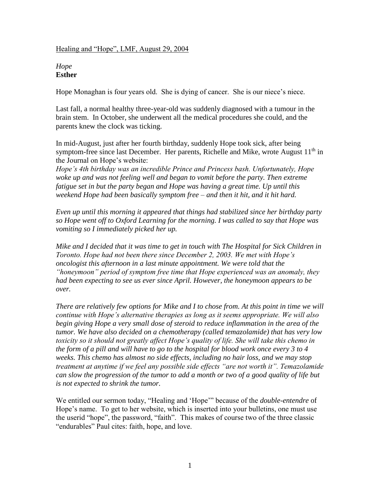#### Healing and "Hope", LMF, August 29, 2004

### *Hope* **Esther**

Hope Monaghan is four years old. She is dying of cancer. She is our niece's niece.

Last fall, a normal healthy three-year-old was suddenly diagnosed with a tumour in the brain stem. In October, she underwent all the medical procedures she could, and the parents knew the clock was ticking.

In mid-August, just after her fourth birthday, suddenly Hope took sick, after being symptom-free since last December. Her parents, Richelle and Mike, wrote August  $11<sup>th</sup>$  in the Journal on Hope's website:

*Hope's 4th birthday was an incredible Prince and Princess bash. Unfortunately, Hope*  woke up and was not feeling well and began to vomit before the party. Then extreme *fatigue set in but the party began and Hope was having a great time. Up until this weekend Hope had been basically symptom free – and then it hit, and it hit hard.*

*Even up until this morning it appeared that things had stabilized since her birthday party so Hope went off to Oxford Learning for the morning. I was called to say that Hope was vomiting so I immediately picked her up.*

*Mike and I decided that it was time to get in touch with The Hospital for Sick Children in Toronto. Hope had not been there since December 2, 2003. We met with Hope's oncologist this afternoon in a last minute appointment. We were told that the "honeymoon" period of symptom free time that Hope experienced was an anomaly, they had been expecting to see us ever since April. However, the honeymoon appears to be over.*

*There are relatively few options for Mike and I to chose from. At this point in time we will continue with Hope's alternative therapies as long as it seems appropriate. We will also begin giving Hope a very small dose of steroid to reduce inflammation in the area of the tumor. We have also decided on a chemotherapy (called temazolamide) that has very low toxicity so it should not greatly affect Hope's quality of life. She will take this chemo in the form of a pill and will have to go to the hospital for blood work once every 3 to 4 weeks. This chemo has almost no side effects, including no hair loss, and we may stop treatment at anytime if we feel any possible side effects "are not worth it". Temazolamide can slow the progression of the tumor to add a month or two of a good quality of life but is not expected to shrink the tumor.*

We entitled our sermon today, "Healing and 'Hope'" because of the *double-entendre* of Hope's name. To get to her website, which is inserted into your bulletins, one must use the userid "hope", the password, "faith". This makes of course two of the three classic "endurables" Paul cites: faith, hope, and love.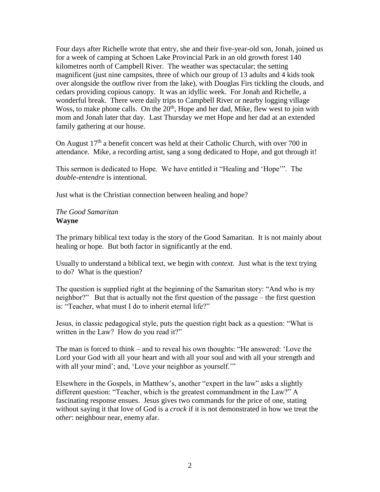Four days after Richelle wrote that entry, she and their five-year-old son, Jonah, joined us for a week of camping at Schoen Lake Provincial Park in an old growth forest 140 kilometres north of Campbell River. The weather was spectacular; the setting magnificent (just nine campsites, three of which our group of 13 adults and 4 kids took over alongside the outflow river from the lake), with Douglas Firs tickling the clouds, and cedars providing copious canopy. It was an idyllic week. For Jonah and Richelle, a wonderful break. There were daily trips to Campbell River or nearby logging village Woss, to make phone calls. On the  $20<sup>th</sup>$ , Hope and her dad, Mike, flew west to join with mom and Jonah later that day. Last Thursday we met Hope and her dad at an extended family gathering at our house.

On August  $17<sup>th</sup>$  a benefit concert was held at their Catholic Church, with over 700 in attendance. Mike, a recording artist, sang a song dedicated to Hope, and got through it!

This sermon is dedicated to Hope. We have entitled it "Healing and 'Hope'". The *double-entendre* is intentional.

Just what is the Christian connection between healing and hope?

# *The Good Samaritan* **Wayne**

The primary biblical text today is the story of the Good Samaritan. It is not mainly about healing or hope. But both factor in significantly at the end.

Usually to understand a biblical text, we begin with *context*. Just what is the text trying to do? What is the question?

The question is supplied right at the beginning of the Samaritan story: "And who is my neighbor?" But that is actually not the first question of the passage – the first question is: "Teacher, what must I do to inherit eternal life?"

Jesus, in classic pedagogical style, puts the question right back as a question: "What is written in the Law? How do you read it?"

The man is forced to think – and to reveal his own thoughts: "He answered: 'Love the Lord your God with all your heart and with all your soul and with all your strength and with all your mind'; and, 'Love your neighbor as yourself.'"

Elsewhere in the Gospels, in Matthew's, another "expert in the law" asks a slightly different question: "Teacher, which is the greatest commandment in the Law?" A fascinating response ensues. Jesus gives two commands for the price of one, stating without saying it that love of God is a *crock* if it is not demonstrated in how we treat the *other*: neighbour near, enemy afar.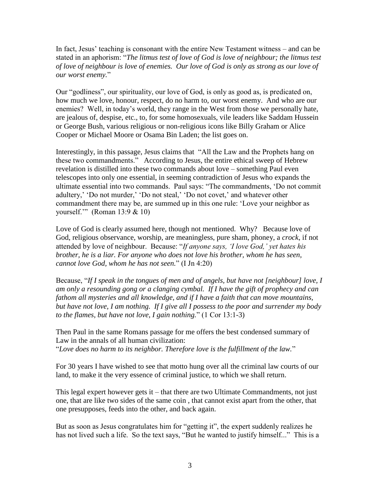In fact, Jesus' teaching is consonant with the entire New Testament witness – and can be stated in an aphorism: "*The litmus test of love of God is love of neighbour; the litmus test of love of neighbour is love of enemies. Our love of God is only as strong as our love of our worst enemy.*"

Our "godliness", our spirituality, our love of God, is only as good as, is predicated on, how much we love, honour, respect, do no harm to, our worst enemy. And who are our enemies? Well, in today's world, they range in the West from those we personally hate, are jealous of, despise, etc., to, for some homosexuals, vile leaders like Saddam Hussein or George Bush, various religious or non-religious icons like Billy Graham or Alice Cooper or Michael Moore or Osama Bin Laden; the list goes on.

Interestingly, in this passage, Jesus claims that "All the Law and the Prophets hang on these two commandments." According to Jesus, the entire ethical sweep of Hebrew revelation is distilled into these two commands about love – something Paul even telescopes into only one essential, in seeming contradiction of Jesus who expands the ultimate essential into two commands. Paul says: "The commandments, 'Do not commit adultery,' 'Do not murder,' 'Do not steal,' 'Do not covet,' and whatever other commandment there may be, are summed up in this one rule: 'Love your neighbor as yourself.'" (Roman 13:9 & 10)

Love of God is clearly assumed here, though not mentioned. Why? Because love of God, religious observance, worship, are meaningless, pure sham, phoney, a *crock*, if not attended by love of neighbour. Because: "*If anyone says, 'I love God,' yet hates his brother, he is a liar. For anyone who does not love his brother, whom he has seen, cannot love God, whom he has not seen.*" (I Jn 4:20)

Because, "*If I speak in the tongues of men and of angels, but have not [neighbour] love, I am only a resounding gong or a clanging cymbal. If I have the gift of prophecy and can fathom all mysteries and all knowledge, and if I have a faith that can move mountains, but have not love, I am nothing. If I give all I possess to the poor and surrender my body to the flames, but have not love, I gain nothing.*" (1 Cor 13:1-3)

Then Paul in the same Romans passage for me offers the best condensed summary of Law in the annals of all human civilization: "*Love does no harm to its neighbor. Therefore love is the fulfillment of the law.*"

For 30 years I have wished to see that motto hung over all the criminal law courts of our land, to make it the very essence of criminal justice, to which we shall return.

This legal expert however gets it – that there are two Ultimate Commandments, not just one, that are like two sides of the same coin , that cannot exist apart from the other, that one presupposes, feeds into the other, and back again.

But as soon as Jesus congratulates him for "getting it", the expert suddenly realizes he has not lived such a life. So the text says, "But he wanted to justify himself..." This is a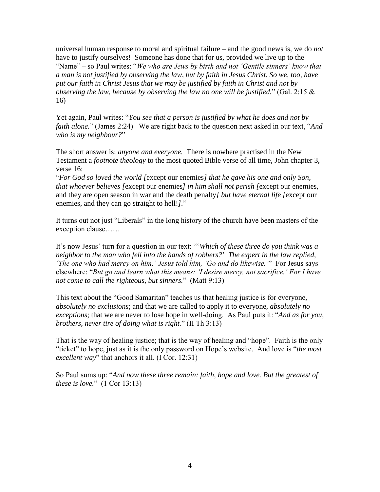universal human response to moral and spiritual failure – and the good news is, we do *not* have to justify ourselves! Someone has done that for us, provided we live up to the "Name" – so Paul writes: "*We who are Jews by birth and not 'Gentile sinners' know that a man is not justified by observing the law, but by faith in Jesus Christ. So we, too, have put our faith in Christ Jesus that we may be justified by faith in Christ and not by observing the law, because by observing the law no one will be justified.*" (Gal. 2:15 & 16)

Yet again, Paul writes: "*You see that a person is justified by what he does and not by faith alone.*" (James 2:24) We are right back to the question next asked in our text, "*And who is my neighbour?*"

The short answer is: *anyone and everyone.* There is nowhere practised in the New Testament a *footnote theology* to the most quoted Bible verse of all time, John chapter 3, verse 16:

"*For God so loved the world [*except our enemies*] that he gave his one and only Son, that whoever believes [*except our enemies*] in him shall not perish [*except our enemies, and they are open season in war and the death penalty*] but have eternal life [*except our enemies, and they can go straight to hell!*].*"

It turns out not just "Liberals" in the long history of the church have been masters of the exception clause……

It's now Jesus' turn for a question in our text: "'*Which of these three do you think was a neighbor to the man who fell into the hands of robbers?*' *The expert in the law replied, 'The one who had mercy on him.' Jesus told him, 'Go and do likewise.'*" For Jesus says elsewhere: "*But go and learn what this means: 'I desire mercy, not sacrifice.' For I have not come to call the righteous, but sinners.*" (Matt 9:13)

This text about the "Good Samaritan" teaches us that healing justice is for everyone, *absolutely no exclusions*; and that we are called to apply it to everyone, *absolutely no exceptions*; that we are never to lose hope in well-doing. As Paul puts it: "*And as for you, brothers, never tire of doing what is right.*" (II Th 3:13)

That is the way of healing justice; that is the way of healing and "hope". Faith is the only "ticket" to hope, just as it is the only password on Hope's website. And love is "*the most excellent way*" that anchors it all. (I Cor. 12:31)

So Paul sums up: "*And now these three remain: faith, hope and love. But the greatest of these is love.*" (1 Cor 13:13)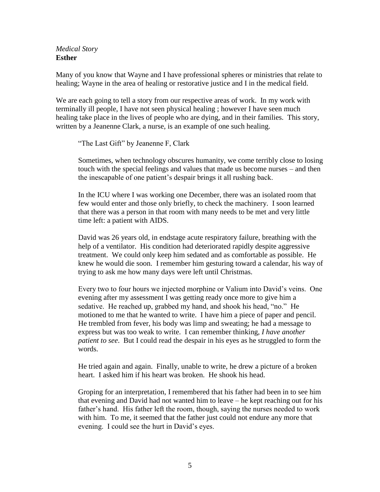*Medical Story* **Esther**

Many of you know that Wayne and I have professional spheres or ministries that relate to healing; Wayne in the area of healing or restorative justice and I in the medical field.

We are each going to tell a story from our respective areas of work. In my work with terminally ill people, I have not seen physical healing ; however I have seen much healing take place in the lives of people who are dying, and in their families. This story, written by a Jeanenne Clark, a nurse, is an example of one such healing.

"The Last Gift" by Jeanenne F, Clark

Sometimes, when technology obscures humanity, we come terribly close to losing touch with the special feelings and values that made us become nurses – and then the inescapable of one patient's despair brings it all rushing back.

In the ICU where I was working one December, there was an isolated room that few would enter and those only briefly, to check the machinery. I soon learned that there was a person in that room with many needs to be met and very little time left: a patient with AIDS.

David was 26 years old, in endstage acute respiratory failure, breathing with the help of a ventilator. His condition had deteriorated rapidly despite aggressive treatment. We could only keep him sedated and as comfortable as possible. He knew he would die soon. I remember him gesturing toward a calendar, his way of trying to ask me how many days were left until Christmas.

Every two to four hours we injected morphine or Valium into David's veins. One evening after my assessment I was getting ready once more to give him a sedative. He reached up, grabbed my hand, and shook his head, "no." He motioned to me that he wanted to write. I have him a piece of paper and pencil. He trembled from fever, his body was limp and sweating; he had a message to express but was too weak to write. I can remember thinking, *I have another patient to see*. But I could read the despair in his eyes as he struggled to form the words.

He tried again and again. Finally, unable to write, he drew a picture of a broken heart. I asked him if his heart was broken. He shook his head.

Groping for an interpretation, I remembered that his father had been in to see him that evening and David had not wanted him to leave – he kept reaching out for his father's hand. His father left the room, though, saying the nurses needed to work with him. To me, it seemed that the father just could not endure any more that evening. I could see the hurt in David's eyes.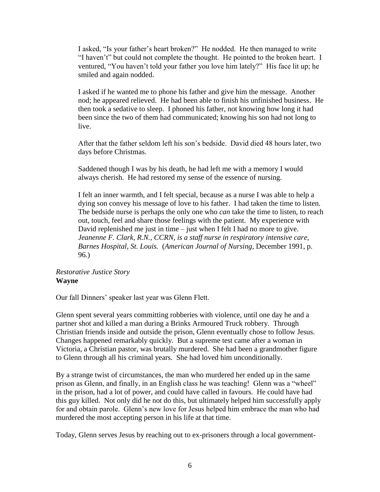I asked, "Is your father's heart broken?" He nodded. He then managed to write "I haven't" but could not complete the thought. He pointed to the broken heart. I ventured, "You haven't told your father you love him lately?" His face lit up; he smiled and again nodded.

I asked if he wanted me to phone his father and give him the message. Another nod; he appeared relieved. He had been able to finish his unfinished business. He then took a sedative to sleep. I phoned his father, not knowing how long it had been since the two of them had communicated; knowing his son had not long to live.

After that the father seldom left his son's bedside. David died 48 hours later, two days before Christmas.

Saddened though I was by his death, he had left me with a memory I would always cherish. He had restored my sense of the essence of nursing.

I felt an inner warmth, and I felt special, because as a nurse I was able to help a dying son convey his message of love to his father. I had taken the time to listen. The bedside nurse is perhaps the only one who *can* take the time to listen, to reach out, touch, feel and share those feelings with the patient. My experience with David replenished me just in time – just when I felt I had no more to give. *Jeanenne F. Clark, R.N., CCRN, is a staff nurse in respiratory intensive care, Barnes Hospital, St. Louis.* (*American Journal of Nursing*, December 1991, p. 96.)

## *Restorative Justice Story* **Wayne**

Our fall Dinners' speaker last year was Glenn Flett.

Glenn spent several years committing robberies with violence, until one day he and a partner shot and killed a man during a Brinks Armoured Truck robbery. Through Christian friends inside and outside the prison, Glenn eventually chose to follow Jesus. Changes happened remarkably quickly. But a supreme test came after a woman in Victoria, a Christian pastor, was brutally murdered. She had been a grandmother figure to Glenn through all his criminal years. She had loved him unconditionally.

By a strange twist of circumstances, the man who murdered her ended up in the same prison as Glenn, and finally, in an English class he was teaching! Glenn was a "wheel" in the prison, had a lot of power, and could have called in favours. He could have had this guy killed. Not only did he not do this, but ultimately helped him successfully apply for and obtain parole. Glenn's new love for Jesus helped him embrace the man who had murdered the most accepting person in his life at that time.

Today, Glenn serves Jesus by reaching out to ex-prisoners through a local government-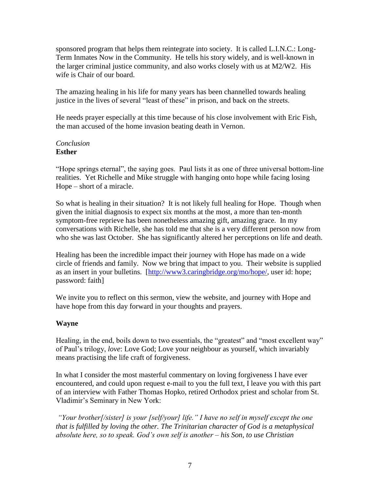sponsored program that helps them reintegrate into society. It is called L.I.N.C.: Long-Term Inmates Now in the Community. He tells his story widely, and is well-known in the larger criminal justice community, and also works closely with us at M2/W2. His wife is Chair of our board.

The amazing healing in his life for many years has been channelled towards healing justice in the lives of several "least of these" in prison, and back on the streets.

He needs prayer especially at this time because of his close involvement with Eric Fish, the man accused of the home invasion beating death in Vernon.

### *Conclusion* **Esther**

"Hope springs eternal", the saying goes. Paul lists it as one of three universal bottom-line realities. Yet Richelle and Mike struggle with hanging onto hope while facing losing Hope – short of a miracle.

So what is healing in their situation? It is not likely full healing for Hope. Though when given the initial diagnosis to expect six months at the most, a more than ten-month symptom-free reprieve has been nonetheless amazing gift, amazing grace. In my conversations with Richelle, she has told me that she is a very different person now from who she was last October. She has significantly altered her perceptions on life and death.

Healing has been the incredible impact their journey with Hope has made on a wide circle of friends and family. Now we bring that impact to you. Their website is supplied as an insert in your bulletins. [\[http://www3.caringbridge.org/mo/hope/,](http://www3.caringbridge.org/mo/hope/) user id: hope; password: faith]

We invite you to reflect on this sermon, view the website, and journey with Hope and have hope from this day forward in your thoughts and prayers.

## **Wayne**

Healing, in the end, boils down to two essentials, the "greatest" and "most excellent way" of Paul's trilogy, *love*: Love God; Love your neighbour as yourself, which invariably means practising the life craft of forgiveness.

In what I consider the most masterful commentary on loving forgiveness I have ever encountered, and could upon request e-mail to you the full text, I leave you with this part of an interview with Father Thomas Hopko, retired Orthodox priest and scholar from St. Vladimir's Seminary in New York:

*"Your brother[/sister] is your [self/your] life." I have no self in myself except the one that is fulfilled by loving the other. The Trinitarian character of God is a metaphysical absolute here, so to speak. God's own self is another – his Son, to use Christian*